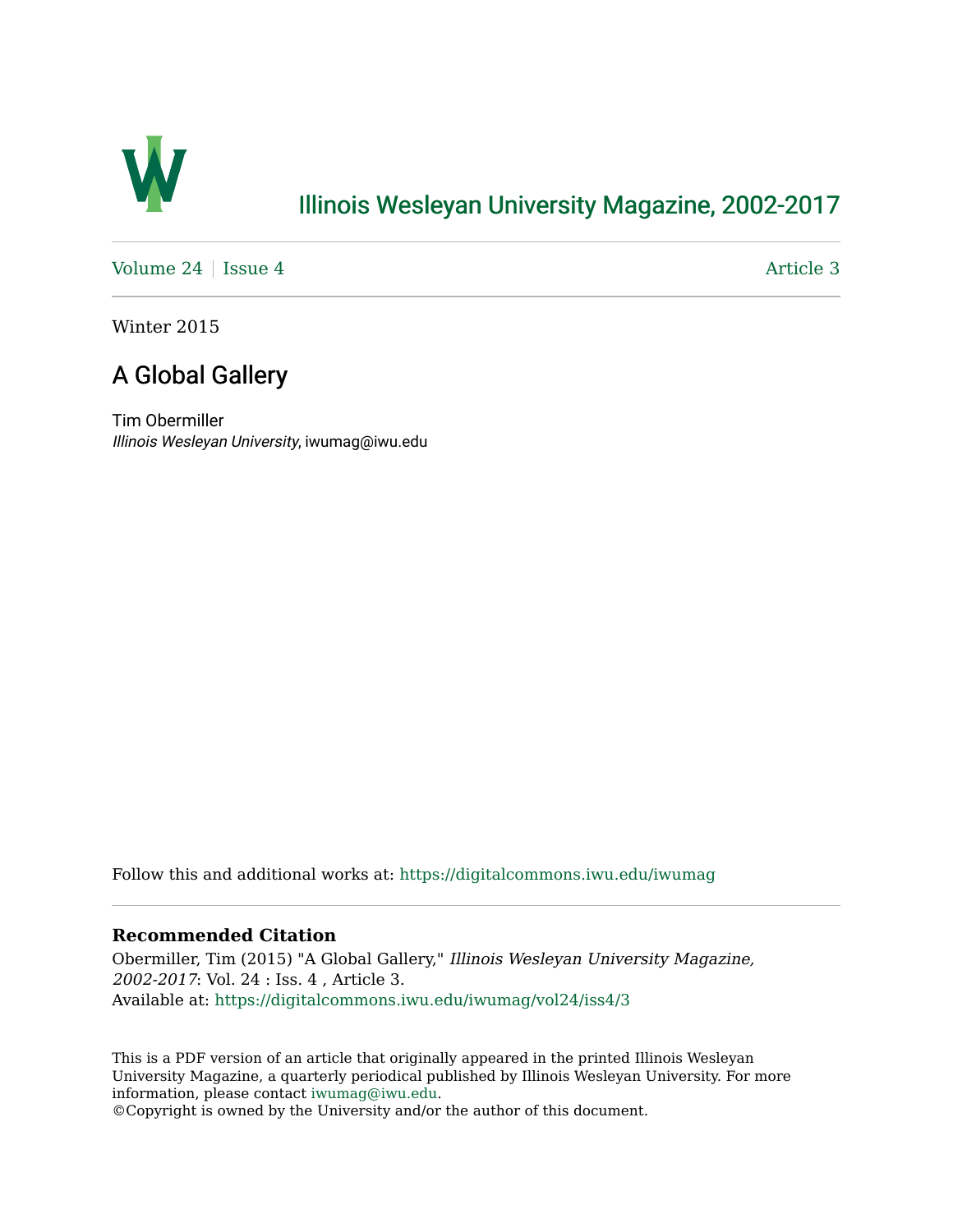

# [Illinois Wesleyan University Magazine, 2002-2017](https://digitalcommons.iwu.edu/iwumag)

[Volume 24](https://digitalcommons.iwu.edu/iwumag/vol24) | [Issue 4](https://digitalcommons.iwu.edu/iwumag/vol24/iss4)  $\blacksquare$ 

Winter 2015

# A Global Gallery

Tim Obermiller Illinois Wesleyan University, iwumag@iwu.edu

Follow this and additional works at: [https://digitalcommons.iwu.edu/iwumag](https://digitalcommons.iwu.edu/iwumag?utm_source=digitalcommons.iwu.edu%2Fiwumag%2Fvol24%2Fiss4%2F3&utm_medium=PDF&utm_campaign=PDFCoverPages) 

#### **Recommended Citation**

Obermiller, Tim (2015) "A Global Gallery," Illinois Wesleyan University Magazine, 2002-2017: Vol. 24 : Iss. 4 , Article 3. Available at: [https://digitalcommons.iwu.edu/iwumag/vol24/iss4/3](https://digitalcommons.iwu.edu/iwumag/vol24/iss4/3?utm_source=digitalcommons.iwu.edu%2Fiwumag%2Fvol24%2Fiss4%2F3&utm_medium=PDF&utm_campaign=PDFCoverPages)

This is a PDF version of an article that originally appeared in the printed Illinois Wesleyan University Magazine, a quarterly periodical published by Illinois Wesleyan University. For more information, please contact [iwumag@iwu.edu](mailto:iwumag@iwu.edu).

©Copyright is owned by the University and/or the author of this document.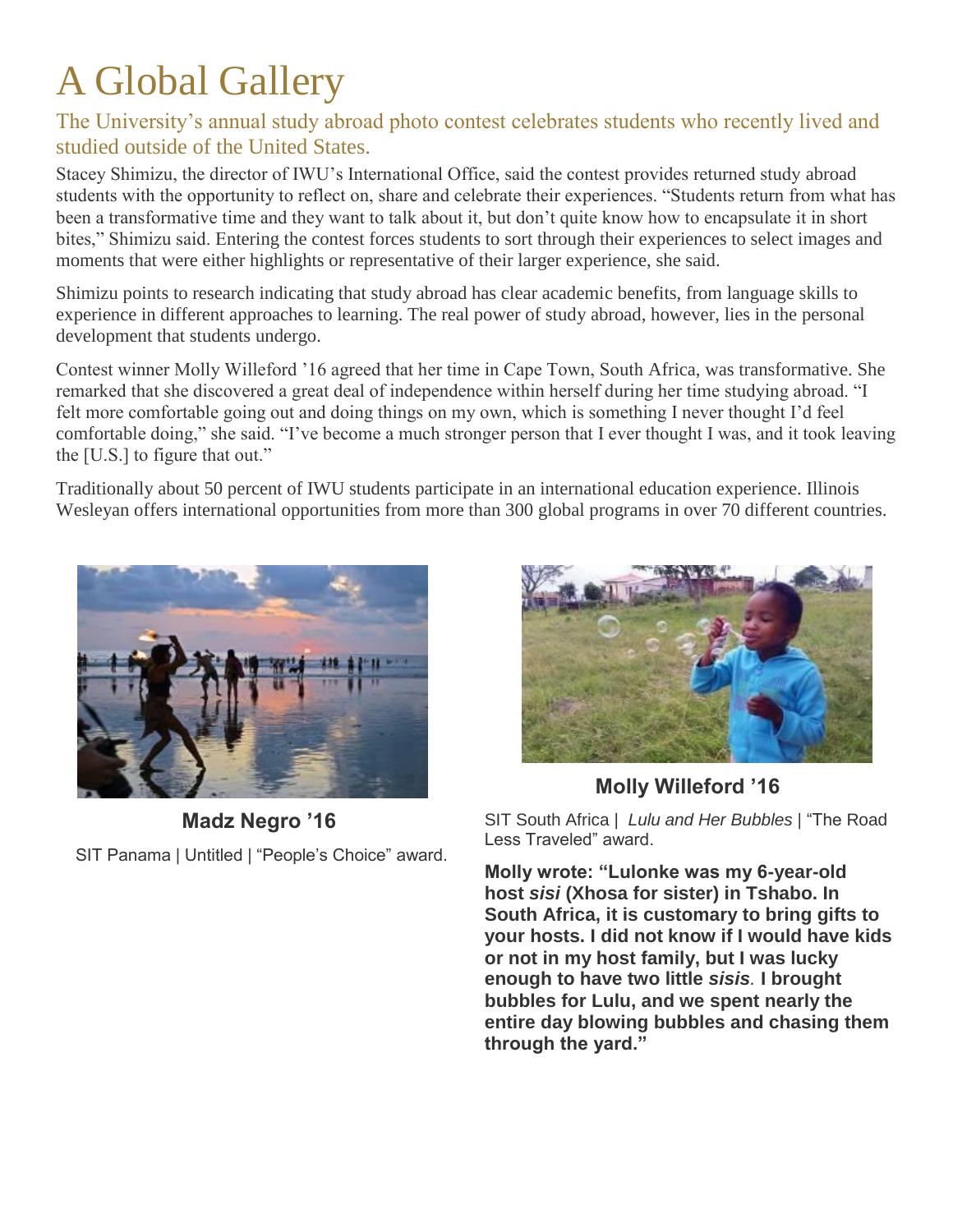# A Global Gallery

### The University's annual study abroad photo contest celebrates students who recently lived and studied outside of the United States.

Stacey Shimizu, the director of IWU's International Office, said the contest provides returned study abroad students with the opportunity to reflect on, share and celebrate their experiences. "Students return from what has been a transformative time and they want to talk about it, but don't quite know how to encapsulate it in short bites," Shimizu said. Entering the contest forces students to sort through their experiences to select images and moments that were either highlights or representative of their larger experience, she said.

Shimizu points to research indicating that study abroad has clear academic benefits, from language skills to experience in different approaches to learning. The real power of study abroad, however, lies in the personal development that students undergo.

Contest winner Molly Willeford '16 agreed that her time in Cape Town, South Africa, was transformative. She remarked that she discovered a great deal of independence within herself during her time studying abroad. "I felt more comfortable going out and doing things on my own, which is something I never thought I'd feel comfortable doing," she said. "I've become a much stronger person that I ever thought I was, and it took leaving the [U.S.] to figure that out."

Traditionally about 50 percent of IWU students participate in an international education experience. Illinois Wesleyan offers international opportunities from more than 300 global programs in over 70 different countries.



**Madz Negro '16**

SIT Panama | Untitled | "People's Choice" award.



**Molly Willeford '16**

SIT South Africa | *Lulu and Her Bubbles* | "The Road Less Traveled" award.

**Molly wrote: "Lulonke was my 6-year-old host** *sisi* **(Xhosa for sister) in Tshabo. In South Africa, it is customary to bring gifts to your hosts. I did not know if I would have kids or not in my host family, but I was lucky enough to have two little** *sisis.* **I brought bubbles for Lulu, and we spent nearly the entire day blowing bubbles and chasing them through the yard."**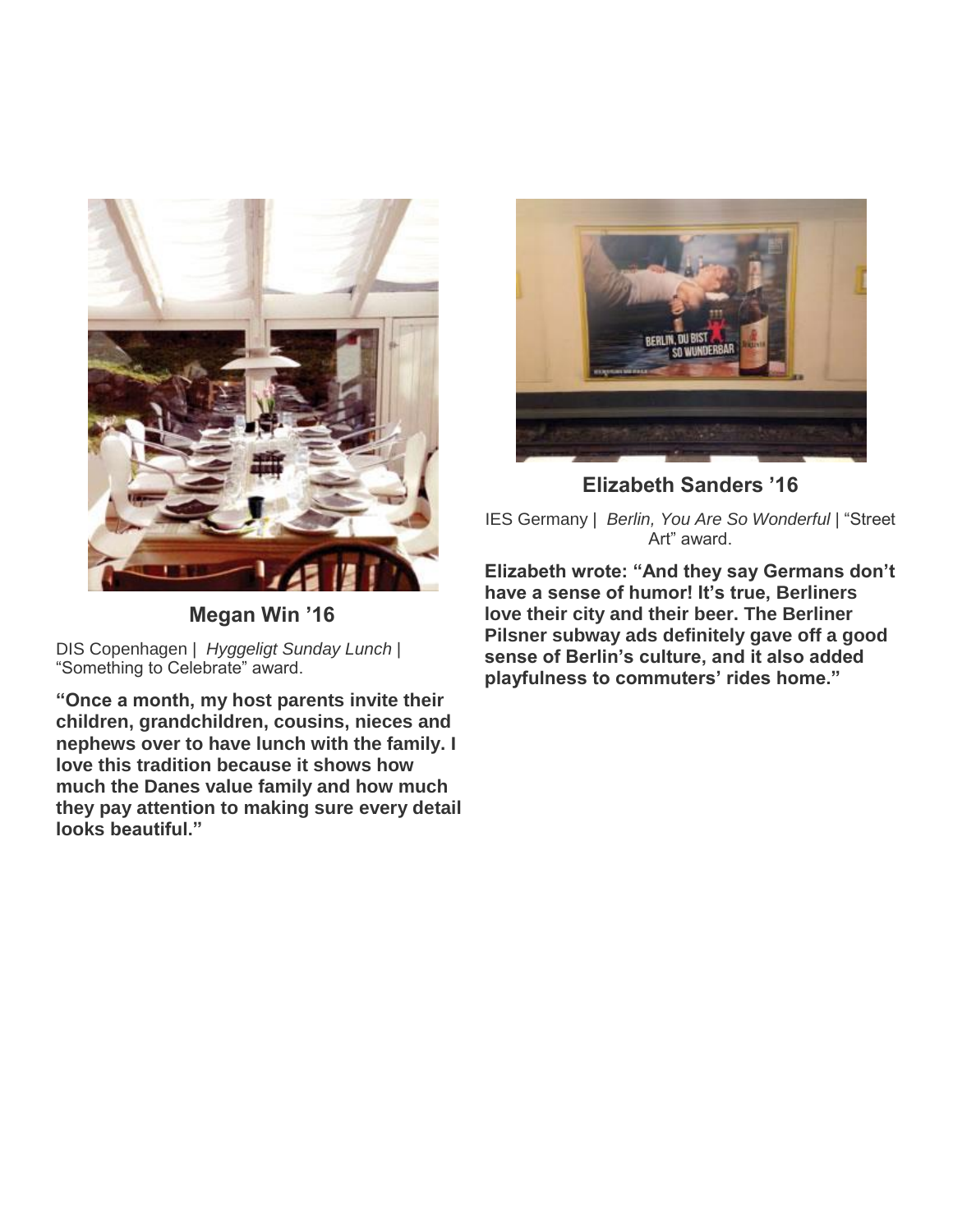

**Megan Win '16**

DIS Copenhagen | *Hyggeligt Sunday Lunch* | "Something to Celebrate" award.

**"Once a month, my host parents invite their children, grandchildren, cousins, nieces and nephews over to have lunch with the family. I love this tradition because it shows how much the Danes value family and how much they pay attention to making sure every detail looks beautiful."**



**Elizabeth Sanders '16**

IES Germany | *Berlin, You Are So Wonderful* | "Street Art" award.

**Elizabeth wrote: "And they say Germans don't have a sense of humor! It's true, Berliners love their city and their beer. The Berliner Pilsner subway ads definitely gave off a good sense of Berlin's culture, and it also added playfulness to commuters' rides home."**